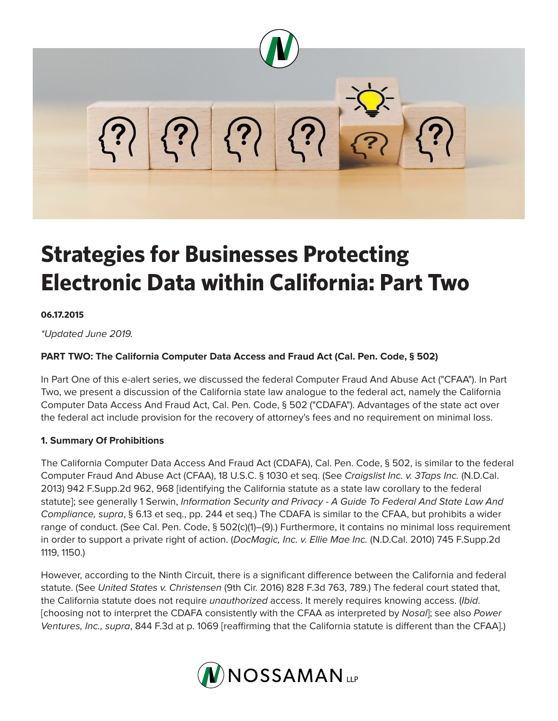

# **Strategies for Businesses Protecting Electronic Data within California: Part Two**

#### **06.17.2015**

*\*Updated June 2019.*

## **PART TWO: The California Computer Data Access and Fraud Act (Cal. Pen. Code, § 502)**

In Part One of this e-alert series, we discussed the federal Computer Fraud And Abuse Act ("CFAA"). In Part Two, we present a discussion of the California state law analogue to the federal act, namely the California Computer Data Access And Fraud Act, Cal. Pen. Code, § 502 ("CDAFA"). Advantages of the state act over the federal act include provision for the recovery of attorney's fees and no requirement on minimal loss.

### **1. Summary Of Prohibitions**

The California Computer Data Access And Fraud Act (CDAFA), Cal. Pen. Code, § 502, is similar to the federal Computer Fraud And Abuse Act (CFAA), 18 U.S.C. § 1030 et seq. (See *Craigslist Inc. v. 3Taps Inc.* (N.D.Cal. 2013) 942 F.Supp.2d 962, 968 [identifying the California statute as a state law corollary to the federal statute]; see generally 1 Serwin, *Information Security and Privacy - A Guide To Federal And State Law And Compliance, supra*, § 6.13 et seq., pp. 244 et seq.) The CDAFA is similar to the CFAA, but prohibits a wider range of conduct. (See Cal. Pen. Code, § 502(c)(1)–(9).) Furthermore, it contains no minimal loss requirement in order to support a private right of action. (*DocMagic, Inc. v. Ellie Mae Inc.* (N.D.Cal. 2010) 745 F.Supp.2d 1119, 1150.)

However, according to the Ninth Circuit, there is a significant difference between the California and federal statute. (See *United States v. Christensen* (9th Cir. 2016) 828 F.3d 763, 789.) The federal court stated that, the California statute does not require *unauthorized* access. It merely requires knowing access. (*Ibid*. [choosing not to interpret the CDAFA consistently with the CFAA as interpreted by *Nosal*]; see also *Power Ventures, Inc., supra*, 844 F.3d at p. 1069 [reaffirming that the California statute is different than the CFAA].)

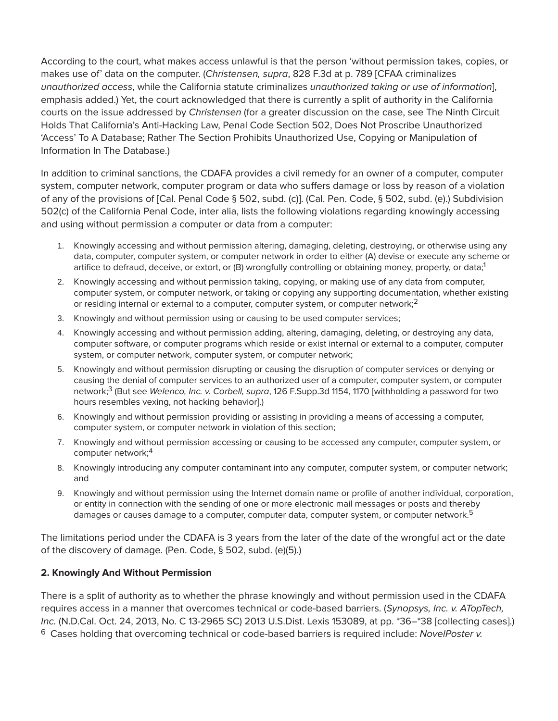According to the court, what makes access unlawful is that the person 'without permission takes, copies, or makes use of' data on the computer. (*Christensen, supra*, 828 F.3d at p. 789 [CFAA criminalizes *unauthorized access*, while the California statute criminalizes *unauthorized taking or use of information*], emphasis added.) Yet, the court acknowledged that there is currently a split of authority in the California courts on the issue addressed by *Christensen* (for a greater discussion on the case, see The Ninth Circuit Holds That California's Anti-Hacking Law, Penal Code Section 502, Does Not Proscribe Unauthorized 'Access' To A Database; Rather The Section Prohibits Unauthorized Use, Copying or Manipulation of Information In The Database.)

In addition to criminal sanctions, the CDAFA provides a civil remedy for an owner of a computer, computer system, computer network, computer program or data who suffers damage or loss by reason of a violation of any of the provisions of [Cal. Penal Code § 502, subd. (c)]. (Cal. Pen. Code, § 502, subd. (e).) Subdivision 502(c) of the California Penal Code, inter alia, lists the following violations regarding knowingly accessing and using without permission a computer or data from a computer:

- 1. Knowingly accessing and without permission altering, damaging, deleting, destroying, or otherwise using any data, computer, computer system, or computer network in order to either (A) devise or execute any scheme or artifice to defraud, deceive, or extort, or (B) wrongfully controlling or obtaining money, property, or data;  $1$
- 2. Knowingly accessing and without permission taking, copying, or making use of any data from computer, computer system, or computer network, or taking or copying any supporting documentation, whether existing or residing internal or external to a computer, computer system, or computer network; $^2$
- 3. Knowingly and without permission using or causing to be used computer services;
- 4. Knowingly accessing and without permission adding, altering, damaging, deleting, or destroying any data, computer software, or computer programs which reside or exist internal or external to a computer, computer system, or computer network, computer system, or computer network;
- 5. Knowingly and without permission disrupting or causing the disruption of computer services or denying or causing the denial of computer services to an authorized user of a computer, computer system, or computer network;3 (But see *Welenco, Inc. v. Corbell, supra*, 126 F.Supp.3d 1154, 1170 [withholding a password for two hours resembles vexing, not hacking behavior].)
- 6. Knowingly and without permission providing or assisting in providing a means of accessing a computer, computer system, or computer network in violation of this section;
- 7. Knowingly and without permission accessing or causing to be accessed any computer, computer system, or computer network;4
- 8. Knowingly introducing any computer contaminant into any computer, computer system, or computer network; and
- 9. Knowingly and without permission using the Internet domain name or profile of another individual, corporation, or entity in connection with the sending of one or more electronic mail messages or posts and thereby damages or causes damage to a computer, computer data, computer system, or computer network.<sup>5</sup>

The limitations period under the CDAFA is 3 years from the later of the date of the wrongful act or the date of the discovery of damage. (Pen. Code, § 502, subd. (e)(5).)

### **2. Knowingly And Without Permission**

There is a split of authority as to whether the phrase knowingly and without permission used in the CDAFA requires access in a manner that overcomes technical or code-based barriers. (*Synopsys, Inc. v. ATopTech, Inc.* (N.D.Cal. Oct. 24, 2013, No. C 13-2965 SC) 2013 U.S.Dist. Lexis 153089, at pp. \*36–\*38 [collecting cases].) 6 Cases holding that overcoming technical or code-based barriers is required include: *NovelPoster v.*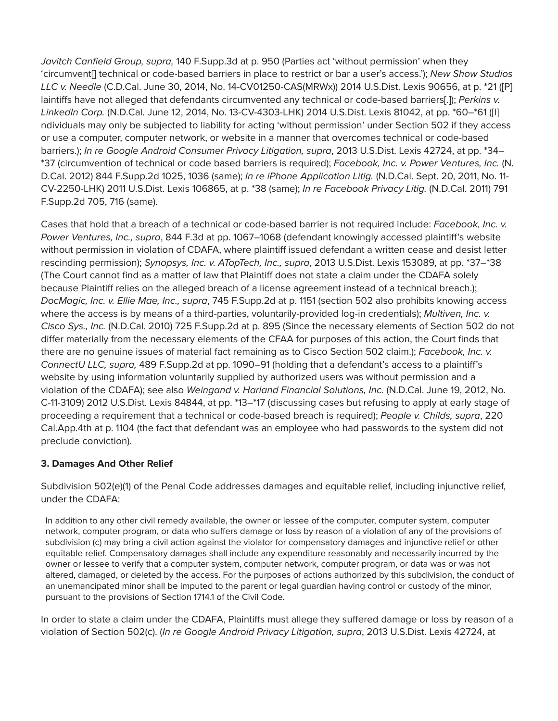*Javitch Canfield Group, supra,* 140 F.Supp.3d at p. 950 (Parties act 'without permission' when they 'circumvent[] technical or code-based barriers in place to restrict or bar a user's access.'); *New Show Studios LLC v. Needle* (C.D.Cal. June 30, 2014, No. 14-CV01250-CAS(MRWx)) 2014 U.S.Dist. Lexis 90656, at p. \*21 ([P] laintiffs have not alleged that defendants circumvented any technical or code-based barriers[.]); *Perkins v. LinkedIn Corp.* (N.D.Cal. June 12, 2014, No. 13-CV-4303-LHK) 2014 U.S.Dist. Lexis 81042, at pp. \*60–\*61 ([I] ndividuals may only be subjected to liability for acting 'without permission' under Section 502 if they access or use a computer, computer network, or website in a manner that overcomes technical or code-based barriers.); *In re Google Android Consumer Privacy Litigation, supra*, 2013 U.S.Dist. Lexis 42724, at pp. \*34– \*37 (circumvention of technical or code based barriers is required); *Facebook, Inc. v. Power Ventures, Inc.* (N. D.Cal. 2012) 844 F.Supp.2d 1025, 1036 (same); *In re iPhone Application Litig.* (N.D.Cal. Sept. 20, 2011, No. 11- CV-2250-LHK) 2011 U.S.Dist. Lexis 106865, at p. \*38 (same); *In re Facebook Privacy Litig.* (N.D.Cal. 2011) 791 F.Supp.2d 705, 716 (same).

Cases that hold that a breach of a technical or code-based barrier is not required include: *Facebook, Inc. v. Power Ventures, Inc., supra*, 844 F.3d at pp. 1067–1068 (defendant knowingly accessed plaintiff's website without permission in violation of CDAFA, where plaintiff issued defendant a written cease and desist letter rescinding permission); *Synopsys, Inc. v. ATopTech, Inc., supra*, 2013 U.S.Dist. Lexis 153089, at pp. \*37–\*38 (The Court cannot find as a matter of law that Plaintiff does not state a claim under the CDAFA solely because Plaintiff relies on the alleged breach of a license agreement instead of a technical breach.); *DocMagic, Inc. v. Ellie Mae, Inc., supra*, 745 F.Supp.2d at p. 1151 (section 502 also prohibits knowing access where the access is by means of a third-parties, voluntarily-provided log-in credentials); *Multiven, Inc. v. Cisco Sys., Inc.* (N.D.Cal. 2010) 725 F.Supp.2d at p. 895 (Since the necessary elements of Section 502 do not differ materially from the necessary elements of the CFAA for purposes of this action, the Court finds that there are no genuine issues of material fact remaining as to Cisco Section 502 claim.); *Facebook, Inc. v. ConnectU LLC, supra,* 489 F.Supp.2d at pp. 1090–91 (holding that a defendant's access to a plaintiff's website by using information voluntarily supplied by authorized users was without permission and a violation of the CDAFA); see also *Weingand v. Harland Financial Solutions, Inc.* (N.D.Cal. June 19, 2012, No. C-11-3109) 2012 U.S.Dist. Lexis 84844, at pp. \*13–\*17 (discussing cases but refusing to apply at early stage of proceeding a requirement that a technical or code-based breach is required); *People v. Childs, supra*, 220 Cal.App.4th at p. 1104 (the fact that defendant was an employee who had passwords to the system did not preclude conviction).

### **3. Damages And Other Relief**

Subdivision 502(e)(1) of the Penal Code addresses damages and equitable relief, including injunctive relief, under the CDAFA:

In addition to any other civil remedy available, the owner or lessee of the computer, computer system, computer network, computer program, or data who suffers damage or loss by reason of a violation of any of the provisions of subdivision (c) may bring a civil action against the violator for compensatory damages and injunctive relief or other equitable relief. Compensatory damages shall include any expenditure reasonably and necessarily incurred by the owner or lessee to verify that a computer system, computer network, computer program, or data was or was not altered, damaged, or deleted by the access. For the purposes of actions authorized by this subdivision, the conduct of an unemancipated minor shall be imputed to the parent or legal guardian having control or custody of the minor, pursuant to the provisions of Section 1714.1 of the Civil Code.

In order to state a claim under the CDAFA, Plaintiffs must allege they suffered damage or loss by reason of a violation of Section 502(c). (*In re Google Android Privacy Litigation, supra*, 2013 U.S.Dist. Lexis 42724, at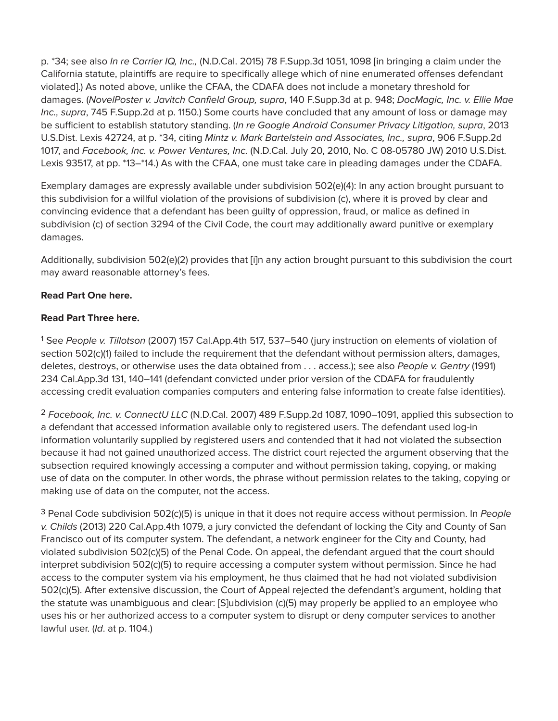p. \*34; see also *In re Carrier IQ, Inc.,* (N.D.Cal. 2015) 78 F.Supp.3d 1051, 1098 [in bringing a claim under the California statute, plaintiffs are require to specifically allege which of nine enumerated offenses defendant violated].) As noted above, unlike the CFAA, the CDAFA does not include a monetary threshold for damages. (*NovelPoster v. Javitch Canfield Group, supra*, 140 F.Supp.3d at p. 948; *DocMagic, Inc. v. Ellie Mae Inc., supra*, 745 F.Supp.2d at p. 1150.) Some courts have concluded that any amount of loss or damage may be sufficient to establish statutory standing. (*In re Google Android Consumer Privacy Litigation, supra*, 2013 U.S.Dist. Lexis 42724, at p. \*34, citing *Mintz v. Mark Bartelstein and Associates, Inc., supra*, 906 F.Supp.2d 1017, and *Facebook, Inc. v. Power Ventures, Inc.* (N.D.Cal. July 20, 2010, No. C 08-05780 JW) 2010 U.S.Dist. Lexis 93517, at pp. \*13–\*14.) As with the CFAA, one must take care in pleading damages under the CDAFA.

Exemplary damages are expressly available under subdivision 502(e)(4): In any action brought pursuant to this subdivision for a willful violation of the provisions of subdivision (c), where it is proved by clear and convincing evidence that a defendant has been guilty of oppression, fraud, or malice as defined in subdivision (c) of section 3294 of the Civil Code, the court may additionally award punitive or exemplary damages.

Additionally, subdivision 502(e)(2) provides that [i]n any action brought pursuant to this subdivision the court may award reasonable attorney's fees.

## **Read Part One here.**

### **Read Part Three here.**

1 See *People v. Tillotson* (2007) 157 Cal.App.4th 517, 537–540 (jury instruction on elements of violation of section 502(c)(1) failed to include the requirement that the defendant without permission alters, damages, deletes, destroys, or otherwise uses the data obtained from . . . access.); see also *People v. Gentry* (1991) 234 Cal.App.3d 131, 140–141 (defendant convicted under prior version of the CDAFA for fraudulently accessing credit evaluation companies computers and entering false information to create false identities).

2 *Facebook, Inc. v. ConnectU LLC* (N.D.Cal. 2007) 489 F.Supp.2d 1087, 1090–1091, applied this subsection to a defendant that accessed information available only to registered users. The defendant used log-in information voluntarily supplied by registered users and contended that it had not violated the subsection because it had not gained unauthorized access. The district court rejected the argument observing that the subsection required knowingly accessing a computer and without permission taking, copying, or making use of data on the computer. In other words, the phrase without permission relates to the taking, copying or making use of data on the computer, not the access.

3 Penal Code subdivision 502(c)(5) is unique in that it does not require access without permission. In *People v. Childs* (2013) 220 Cal.App.4th 1079, a jury convicted the defendant of locking the City and County of San Francisco out of its computer system. The defendant, a network engineer for the City and County, had violated subdivision 502(c)(5) of the Penal Code. On appeal, the defendant argued that the court should interpret subdivision 502(c)(5) to require accessing a computer system without permission. Since he had access to the computer system via his employment, he thus claimed that he had not violated subdivision 502(c)(5). After extensive discussion, the Court of Appeal rejected the defendant's argument, holding that the statute was unambiguous and clear: [S]ubdivision (c)(5) may properly be applied to an employee who uses his or her authorized access to a computer system to disrupt or deny computer services to another lawful user. (*Id*. at p. 1104.)